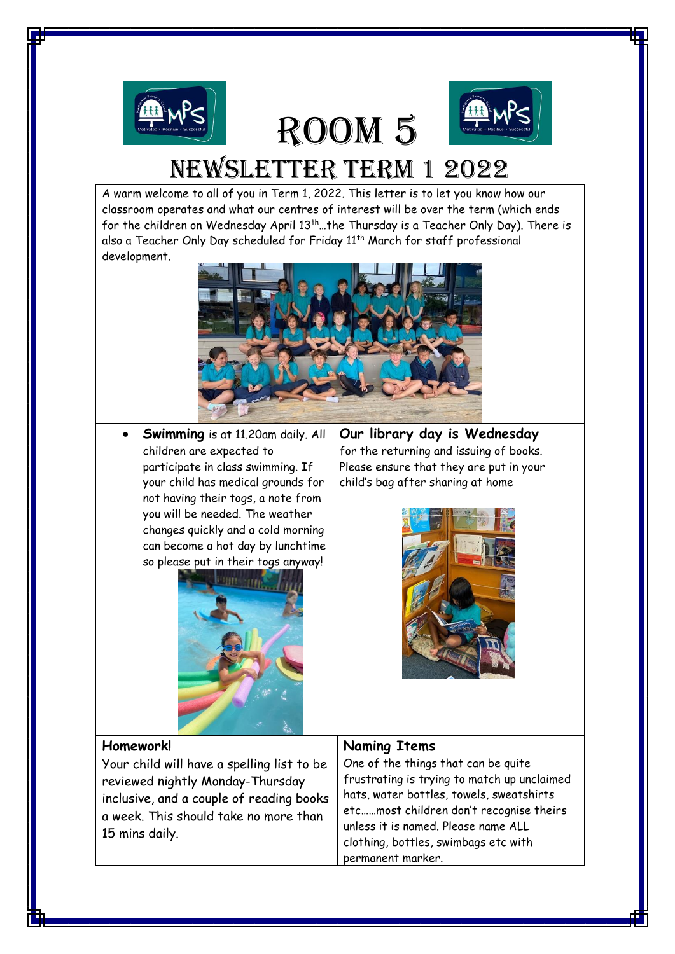

# Room 5



## newsletter term 1 2022

A warm welcome to all of you in Term 1, 2022. This letter is to let you know how our classroom operates and what our centres of interest will be over the term (which ends for the children on Wednesday April 13<sup>th</sup>... the Thursday is a Teacher Only Day). There is also a Teacher Only Day scheduled for Friday 11<sup>th</sup> March for staff professional development.



• **Swimming** is at 11.20am daily. All children are expected to participate in class swimming. If your child has medical grounds for not having their togs, a note from you will be needed. The weather changes quickly and a cold morning can become a hot day by lunchtime so please put in their togs anyway!



**Our library day is Wednesday** for the returning and issuing of books. Please ensure that they are put in your child's bag after sharing at home



#### **Homework!**

Your child will have a spelling list to be reviewed nightly Monday-Thursday inclusive, and a couple of reading books a week. This should take no more than 15 mins daily.

#### **Naming Items**

One of the things that can be quite frustrating is trying to match up unclaimed hats, water bottles, towels, sweatshirts etc……most children don't recognise theirs unless it is named. Please name ALL clothing, bottles, swimbags etc with permanent marker.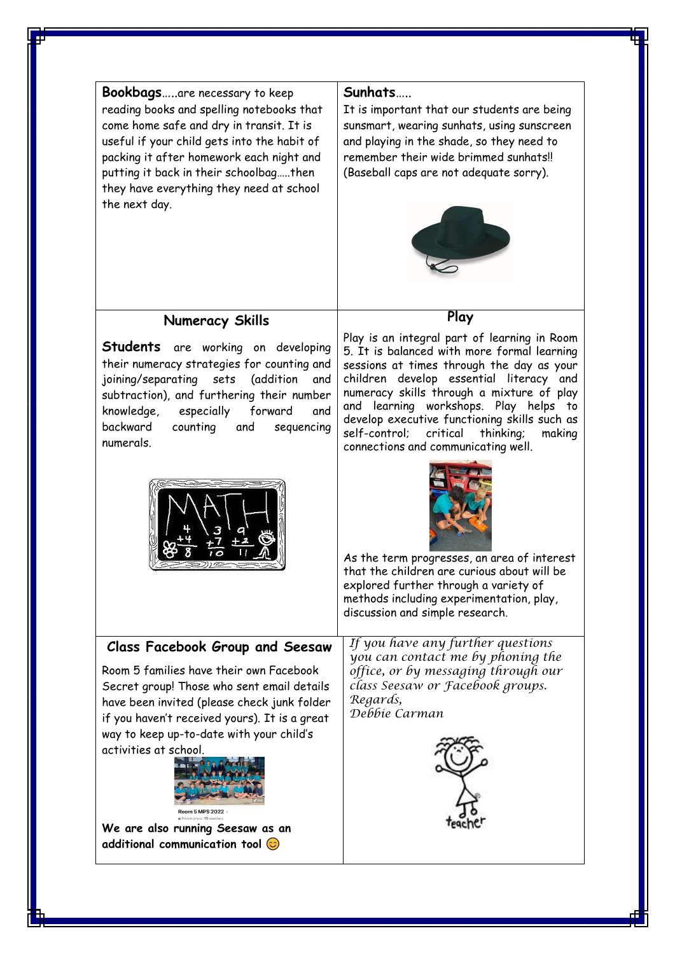#### **Bookbags**…..are necessary to keep reading books and spelling notebooks that come home safe and dry in transit. It is useful if your child gets into the habit of packing it after homework each night and putting it back in their schoolbag…..then they have everything they need at school the next day.

#### **Sunhats**…..

It is important that our students are being sunsmart, wearing sunhats, using sunscreen and playing in the shade, so they need to remember their wide brimmed sunhats!! (Baseball caps are not adequate sorry).



**Play** 

### **Numeracy Skills**

**Students** are working on developing their numeracy strategies for counting and joining/separating sets (addition and subtraction), and furthering their number knowledge, especially forward and backward counting and sequencing numerals.

Play is an integral part of learning in Room 5. It is balanced with more formal learning sessions at times through the day as your children develop essential literacy and numeracy skills through a mixture of play and learning workshops. Play helps to develop executive functioning skills such as self-control; critical thinking; making connections and communicating well.





As the term progresses, an area of interest that the children are curious about will be explored further through a variety of methods including experimentation, play, discussion and simple research.

**Class Facebook Group and Seesaw** 

Room 5 families have their own Facebook Secret group! Those who sent email details have been invited (please check junk folder if you haven't received yours). It is a great way to keep up-to-date with your child's activities at school.



**We are also running Seesaw as an additional communication tool**

If you have any further questions you can contact me by phoning the office, or by messaging through our class Seesaw or Facebook groups. Regards, Debbie Carman